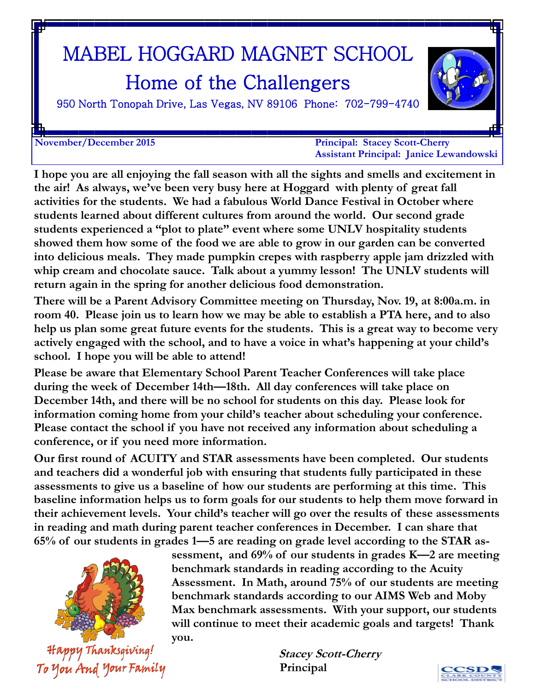# MABEL HOGGARD MAGNET SCHOOL Home of the Challengers



950 North Tonopah Drive, Las Vegas, NV 89106 Phone: 702-799-4740

**November/December 2015 Principal: Stacey Scott-Cherry Assistant Principal: Janice Lewandowski**

**I hope you are all enjoying the fall season with all the sights and smells and excitement in the air! As always, we've been very busy here at Hoggard with plenty of great fall activities for the students. We had a fabulous World Dance Festival in October where students learned about different cultures from around the world. Our second grade students experienced a "plot to plate" event where some UNLV hospitality students showed them how some of the food we are able to grow in our garden can be converted into delicious meals. They made pumpkin crepes with raspberry apple jam drizzled with whip cream and chocolate sauce. Talk about a yummy lesson! The UNLV students will return again in the spring for another delicious food demonstration.** 

**There will be a Parent Advisory Committee meeting on Thursday, Nov. 19, at 8:00a.m. in room 40. Please join us to learn how we may be able to establish a PTA here, and to also help us plan some great future events for the students. This is a great way to become very actively engaged with the school, and to have a voice in what's happening at your child's school. I hope you will be able to attend!**

**Please be aware that Elementary School Parent Teacher Conferences will take place during the week of December 14th—18th. All day conferences will take place on December 14th, and there will be no school for students on this day. Please look for information coming home from your child's teacher about scheduling your conference. Please contact the school if you have not received any information about scheduling a conference, or if you need more information.** 

**Our first round of ACUITY and STAR assessments have been completed. Our students and teachers did a wonderful job with ensuring that students fully participated in these assessments to give us a baseline of how our students are performing at this time. This baseline information helps us to form goals for our students to help them move forward in their achievement levels. Your child's teacher will go over the results of these assessments in reading and math during parent teacher conferences in December. I can share that 65% of our students in grades 1—5 are reading on grade level according to the STAR as-**



Happy Thanksgiving! To You And Your Family **sessment, and 69% of our students in grades K—2 are meeting benchmark standards in reading according to the Acuity Assessment. In Math, around 75% of our students are meeting benchmark standards according to our AIMS Web and Moby Max benchmark assessments. With your support, our students will continue to meet their academic goals and targets! Thank you.**

> **Stacey Scott-Cherry Principal**

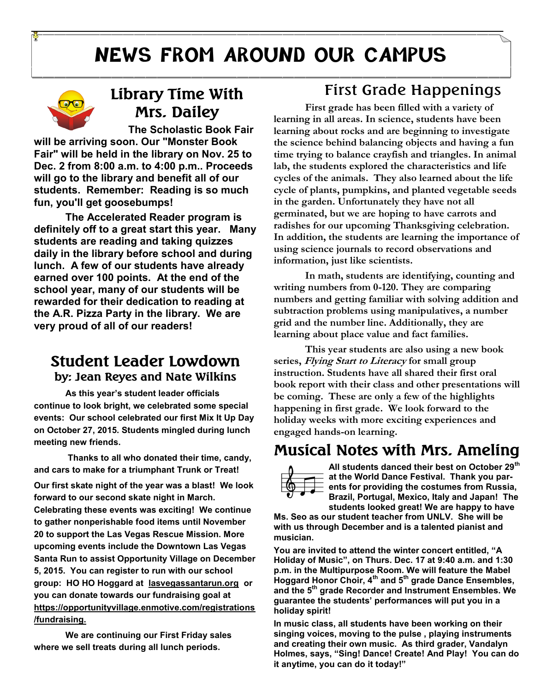# **NEWS FROM AROUND OUR CAMPUS**



### **Library Time With Mrs. Dailey**

**The Scholastic Book Fair will be arriving soon. Our "Monster Book Fair" will be held in the library on Nov. 25 to Dec. 2 from 8:00 a.m. to 4:00 p.m.. Proceeds will go to the library and benefit all of our students. Remember: Reading is so much fun, you'll get goosebumps!** 

**The Accelerated Reader program is definitely off to a great start this year. Many students are reading and taking quizzes daily in the library before school and during lunch. A few of our students have already earned over 100 points. At the end of the school year, many of our students will be rewarded for their dedication to reading at the A.R. Pizza Party in the library. We are very proud of all of our readers!**

#### **Student Leader Lowdown by: Jean Reyes and Nate Wilkins**

**As this year's student leader officials continue to look bright, we celebrated some special events: Our school celebrated our first Mix It Up Day on October 27, 2015. Students mingled during lunch meeting new friends.** 

**Thanks to all who donated their time, candy, and cars to make for a triumphant Trunk or Treat! Our first skate night of the year was a blast! We look forward to our second skate night in March. Celebrating these events was exciting! We continue to gather nonperishable food items until November 20 to support the Las Vegas Rescue Mission. More upcoming events include the Downtown Las Vegas Santa Run to assist Opportunity Village on December 5, 2015. You can register to run with our school group: HO HO Hoggard at lasvegassantarun.org or you can donate towards our fundraising goal at https://opportunityvillage.enmotive.com/registrations /fundraising.**

**We are continuing our First Friday sales where we sell treats during all lunch periods.**

#### First Grade Happenings

**First grade has been filled with a variety of learning in all areas. In science, students have been learning about rocks and are beginning to investigate the science behind balancing objects and having a fun time trying to balance crayfish and triangles. In animal lab, the students explored the characteristics and life cycles of the animals. They also learned about the life cycle of plants, pumpkins, and planted vegetable seeds in the garden. Unfortunately they have not all germinated, but we are hoping to have carrots and radishes for our upcoming Thanksgiving celebration. In addition, the students are learning the importance of using science journals to record observations and information, just like scientists.**

**In math, students are identifying, counting and writing numbers from 0-120. They are comparing numbers and getting familiar with solving addition and subtraction problems using manipulatives, a number grid and the number line. Additionally, they are learning about place value and fact families.**

**This year students are also using a new book series, Flying Start to Literacy for small group instruction. Students have all shared their first oral book report with their class and other presentations will be coming. These are only a few of the highlights happening in first grade. We look forward to the holiday weeks with more exciting experiences and engaged hands-on learning.**

### **Musical Notes with Mrs. Ameling**



**All students danced their best on October 29th at the World Dance Festival. Thank you parents for providing the costumes from Russia, Brazil, Portugal, Mexico, Italy and Japan! The students looked great! We are happy to have** 

**Ms. Seo as our student teacher from UNLV. She will be with us through December and is a talented pianist and musician.** 

**You are invited to attend the winter concert entitled, "A Holiday of Music", on Thurs. Dec. 17 at 9:40 a.m. and 1:30 p.m. in the Multipurpose Room. We will feature the Mabel Hoggard Honor Choir, 4th and 5th grade Dance Ensembles, and the 5th grade Recorder and Instrument Ensembles. We guarantee the students' performances will put you in a holiday spirit!**

**In music class, all students have been working on their singing voices, moving to the pulse , playing instruments and creating their own music. As third grader, Vandalyn Holmes, says, "Sing! Dance! Create! And Play! You can do it anytime, you can do it today!"**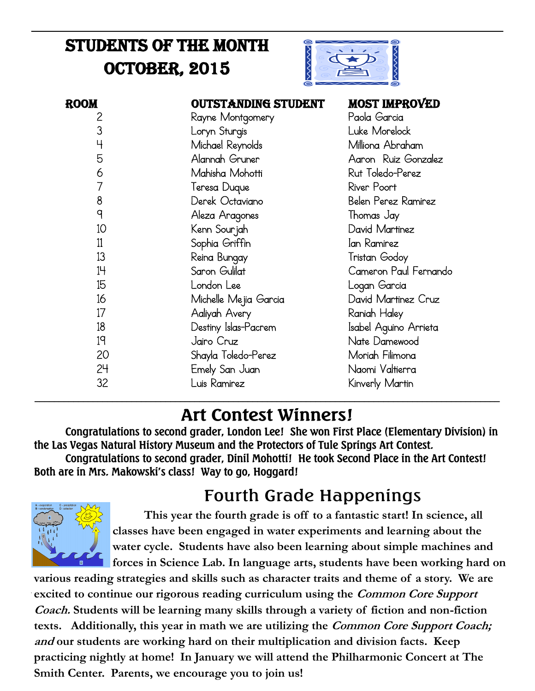## Students of the Month **OCTOBER, 2015**



| <b>ROOM</b> | <b>OUTSTANDING STUDENT</b> | <b>MOST IMPROVED</b>  |
|-------------|----------------------------|-----------------------|
| 2           | Rayne Montgomery           | Paola Garcia          |
| 3           | Loryn Sturgis              | Luke Morelock         |
| 4           | Michael Reynolds           | Milliona Abraham      |
| 5           | Alannah Gruner             | Aaron Ruiz Gonzalez   |
| 6           | Mahisha Mohotti            | Rut Toledo-Perez      |
|             | Teresa Duque               | River Poort           |
| 8           | Derek Octaviano            | Belen Perez Ramirez   |
| q           | Aleza Aragones             | Thomas Jay            |
| 10          | Kenn Sourjah               | David Martinez        |
| 11          | Sophia Griffin             | Ian Ramirez           |
| 13          | Reina Bungay               | Tristan Godoy         |
| 14          | Saron Gulilat              | Cameron Paul Fernando |
| 15          | London Lee                 | Logan Garcia          |
| 16          | Michelle Mejia Garcia      | David Martinez Cruz   |
| 17          | Aaliyah Avery              | Raniah Haley          |
| 18          | Destiny Islas-Pacrem       | Isabel Aguino Arrieta |
| 19          | Jairo Cruz                 | Nate Damewood         |
| 20          | Shayla Toledo-Perez        | Moriah Filimona       |
| 24          | Emely San Juan             | Naomi Valtierra       |
| 32          | Luis Ramirez               | Kinverly Martin       |

## **Art Contest Winners!**

\_\_\_\_\_\_\_\_\_\_\_\_\_\_\_\_\_\_\_\_\_\_\_\_\_\_\_\_\_\_\_\_\_\_\_\_\_\_\_\_\_\_\_\_\_\_\_\_\_\_\_\_\_\_\_\_\_\_\_\_\_\_\_\_\_\_\_\_\_\_\_\_\_\_\_\_\_\_\_\_\_\_\_\_\_\_\_\_\_\_\_\_\_\_\_\_

**Congratulations to second grader, London Lee! She won First Place (Elementary Division) in the Las Vegas Natural History Museum and the Protectors of Tule Springs Art Contest. Congratulations to second grader, Dinil Mohotti! He took Second Place in the Art Contest! Both are in Mrs. Makowski's class! Way to go, Hoggard!**

### Fourth Grade Happenings



**This year the fourth grade is off to a fantastic start! In science, all classes have been engaged in water experiments and learning about the water cycle. Students have also been learning about simple machines and forces in Science Lab. In language arts, students have been working hard on** 

**various reading strategies and skills such as character traits and theme of a story. We are excited to continue our rigorous reading curriculum using the Common Core Support Coach. Students will be learning many skills through a variety of fiction and non-fiction texts. Additionally, this year in math we are utilizing the Common Core Support Coach; and our students are working hard on their multiplication and division facts. Keep practicing nightly at home! In January we will attend the Philharmonic Concert at The Smith Center. Parents, we encourage you to join us!**